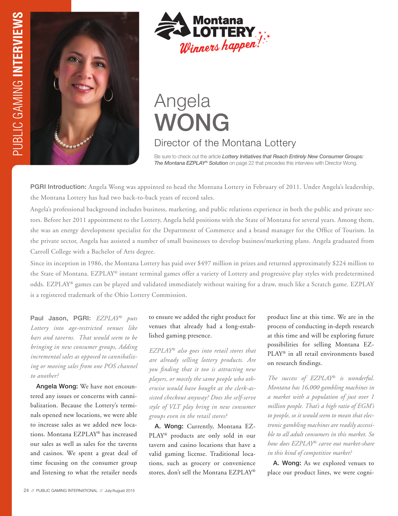



# Angela WONG

## Director of the Montana Lottery

Be sure to check out the article *Lottery Initiatives that Reach Entirely New Consumer Groups: The Montana EZPLAY® Solution* on page 22 that precedes this interview with Director Wong.

PGRI Introduction: Angela Wong was appointed to head the Montana Lottery in February of 2011. Under Angela's leadership, the Montana Lottery has had two back-to-back years of record sales.

Angela's professional background includes business, marketing, and public relations experience in both the public and private sectors. Before her 2011 appointment to the Lottery, Angela held positions with the State of Montana for several years. Among them, she was an energy development specialist for the Department of Commerce and a brand manager for the Office of Tourism. In the private sector, Angela has assisted a number of small businesses to develop business/marketing plans. Angela graduated from Carroll College with a Bachelor of Arts degree.

Since its inception in 1986, the Montana Lottery has paid over \$497 million in prizes and returned approximately \$224 million to the State of Montana. EZPLAY® instant terminal games offer a variety of Lottery and progressive play styles with predetermined odds. EZPLAY® games can be played and validated immediately without waiting for a draw, much like a Scratch game. EZPLAY is a registered trademark of the Ohio Lottery Commission.

Paul Jason, PGRI: *EZPLAY® puts Lottery into age-restricted venues like bars and taverns. That would seem to be bringing in new consumer groups, Adding incremental sales as opposed to cannibalizing or moving sales from one POS channel to another?*

Angela Wong: We have not encountered any issues or concerns with cannibalization. Because the Lottery's terminals opened new locations, we were able to increase sales as we added new locations. Montana EZPLAY® has increased our sales as well as sales for the taverns and casinos. We spent a great deal of time focusing on the consumer group and listening to what the retailer needs

### to ensure we added the right product for venues that already had a long-established gaming presence.

*EZPLAY® also goes into retail stores that are already selling lottery products. Are you finding that it too is attracting new players, or mostly the same people who otherwise would have bought at the clerk-assisted checkout anyway? Does the self-serve style of VLT play bring in new consumer groups even in the retail stores?*

A. Wong: Currently, Montana EZ-PLAY® products are only sold in our tavern and casino locations that have a valid gaming license. Traditional locations, such as grocery or convenience stores, don't sell the Montana EZPLAY®

product line at this time. We are in the process of conducting in-depth research at this time and will be exploring future possibilities for selling Montana EZ-PLAY® in all retail environments based on research findings.

*The success of EZPLAY® is wonderful. Montana has 16,000 gambling machines in a market with a population of just over 1 million people. That's a high ratio of EGM's to people, so it would seem to mean that electronic gambling machines are readily accessible to all adult consumers in this market. So how does EZPLAY® carve out market-share in this kind of competitive market?*

A. Wong: As we explored venues to place our product lines, we were cogni-